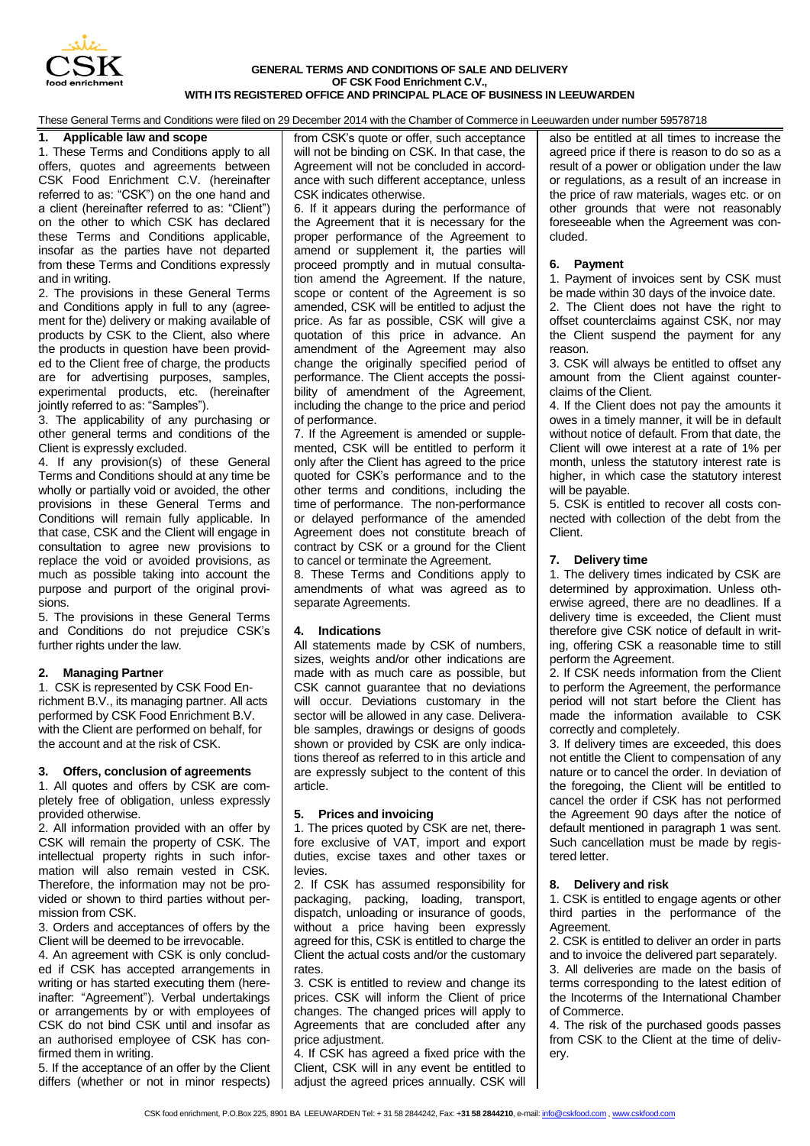

#### **GENERAL TERMS AND CONDITIONS OF SALE AND DELIVERY OF CSK Food Enrichment C.V., WITH ITS REGISTERED OFFICE AND PRINCIPAL PLACE OF BUSINESS IN LEEUWARDEN**

These General Terms and Conditions were filed on 29 December 2014 with the Chamber of Commerce in Leeuwarden under number 59578718

# **1. Applicable law and scope**

1. These Terms and Conditions apply to all offers, quotes and agreements between CSK Food Enrichment C.V. (hereinafter referred to as: "CSK") on the one hand and a client (hereinafter referred to as: "Client") on the other to which CSK has declared these Terms and Conditions applicable, insofar as the parties have not departed from these Terms and Conditions expressly and in writing.

2. The provisions in these General Terms and Conditions apply in full to any (agreement for the) delivery or making available of products by CSK to the Client, also where the products in question have been provided to the Client free of charge, the products are for advertising purposes, samples, experimental products, etc. (hereinafter jointly referred to as: "Samples").

3. The applicability of any purchasing or other general terms and conditions of the Client is expressly excluded.

4. If any provision(s) of these General Terms and Conditions should at any time be wholly or partially void or avoided, the other provisions in these General Terms and Conditions will remain fully applicable. In that case, CSK and the Client will engage in consultation to agree new provisions to replace the void or avoided provisions, as much as possible taking into account the purpose and purport of the original provisions.

5. The provisions in these General Terms and Conditions do not prejudice CSK's further rights under the law.

# **2. Managing Partner**

1. CSK is represented by CSK Food Enrichment B.V., its managing partner. All acts performed by CSK Food Enrichment B.V. with the Client are performed on behalf, for the account and at the risk of CSK.

### **3. Offers, conclusion of agreements**

1. All quotes and offers by CSK are completely free of obligation, unless expressly provided otherwise.

2. All information provided with an offer by CSK will remain the property of CSK. The intellectual property rights in such information will also remain vested in CSK. Therefore, the information may not be provided or shown to third parties without permission from CSK.

3. Orders and acceptances of offers by the Client will be deemed to be irrevocable.

4. An agreement with CSK is only concluded if CSK has accepted arrangements in writing or has started executing them (hereinafter: "Agreement"). Verbal undertakings or arrangements by or with employees of CSK do not bind CSK until and insofar as an authorised employee of CSK has confirmed them in writing.

5. If the acceptance of an offer by the Client differs (whether or not in minor respects) from CSK's quote or offer, such acceptance will not be binding on CSK. In that case, the Agreement will not be concluded in accordance with such different acceptance, unless CSK indicates otherwise.

6. If it appears during the performance of the Agreement that it is necessary for the proper performance of the Agreement to amend or supplement it, the parties will proceed promptly and in mutual consultation amend the Agreement. If the nature, scope or content of the Agreement is so amended, CSK will be entitled to adjust the price. As far as possible, CSK will give a quotation of this price in advance. An amendment of the Agreement may also change the originally specified period of performance. The Client accepts the possibility of amendment of the Agreement, including the change to the price and period of performance.

7. If the Agreement is amended or supplemented, CSK will be entitled to perform it only after the Client has agreed to the price quoted for CSK's performance and to the other terms and conditions, including the time of performance. The non-performance or delayed performance of the amended Agreement does not constitute breach of contract by CSK or a ground for the Client to cancel or terminate the Agreement.

8. These Terms and Conditions apply to amendments of what was agreed as to separate Agreements.

### **4. Indications**

All statements made by CSK of numbers, sizes, weights and/or other indications are made with as much care as possible, but CSK cannot guarantee that no deviations will occur. Deviations customary in the sector will be allowed in any case. Deliverable samples, drawings or designs of goods shown or provided by CSK are only indications thereof as referred to in this article and are expressly subject to the content of this article.

### **5. Prices and invoicing**

1. The prices quoted by CSK are net, therefore exclusive of VAT, import and export duties, excise taxes and other taxes or levies.

2. If CSK has assumed responsibility for packaging, packing, loading, transport, dispatch, unloading or insurance of goods, without a price having been expressly agreed for this, CSK is entitled to charge the Client the actual costs and/or the customary rates.

3. CSK is entitled to review and change its prices. CSK will inform the Client of price changes. The changed prices will apply to Agreements that are concluded after any price adjustment.

4. If CSK has agreed a fixed price with the Client, CSK will in any event be entitled to adjust the agreed prices annually. CSK will also be entitled at all times to increase the agreed price if there is reason to do so as a result of a power or obligation under the law or regulations, as a result of an increase in the price of raw materials, wages etc. or on other grounds that were not reasonably foreseeable when the Agreement was concluded.

### **6. Payment**

1. Payment of invoices sent by CSK must be made within 30 days of the invoice date.

2. The Client does not have the right to offset counterclaims against CSK, nor may the Client suspend the payment for any reason.

3. CSK will always be entitled to offset any amount from the Client against counterclaims of the Client.

4. If the Client does not pay the amounts it owes in a timely manner, it will be in default without notice of default. From that date, the Client will owe interest at a rate of 1% per month, unless the statutory interest rate is higher, in which case the statutory interest will be payable.

5. CSK is entitled to recover all costs connected with collection of the debt from the Client.

### **7. Delivery time**

1. The delivery times indicated by CSK are determined by approximation. Unless otherwise agreed, there are no deadlines. If a delivery time is exceeded, the Client must therefore give CSK notice of default in writing, offering CSK a reasonable time to still perform the Agreement.

2. If CSK needs information from the Client to perform the Agreement, the performance period will not start before the Client has made the information available to CSK correctly and completely.

3. If delivery times are exceeded, this does not entitle the Client to compensation of any nature or to cancel the order. In deviation of the foregoing, the Client will be entitled to cancel the order if CSK has not performed the Agreement 90 days after the notice of default mentioned in paragraph 1 was sent. Such cancellation must be made by registered letter.

### **8. Delivery and risk**

1. CSK is entitled to engage agents or other third parties in the performance of the Agreement.

2. CSK is entitled to deliver an order in parts and to invoice the delivered part separately. 3. All deliveries are made on the basis of terms corresponding to the latest edition of the Incoterms of the International Chamber of Commerce.

4. The risk of the purchased goods passes from CSK to the Client at the time of delivery.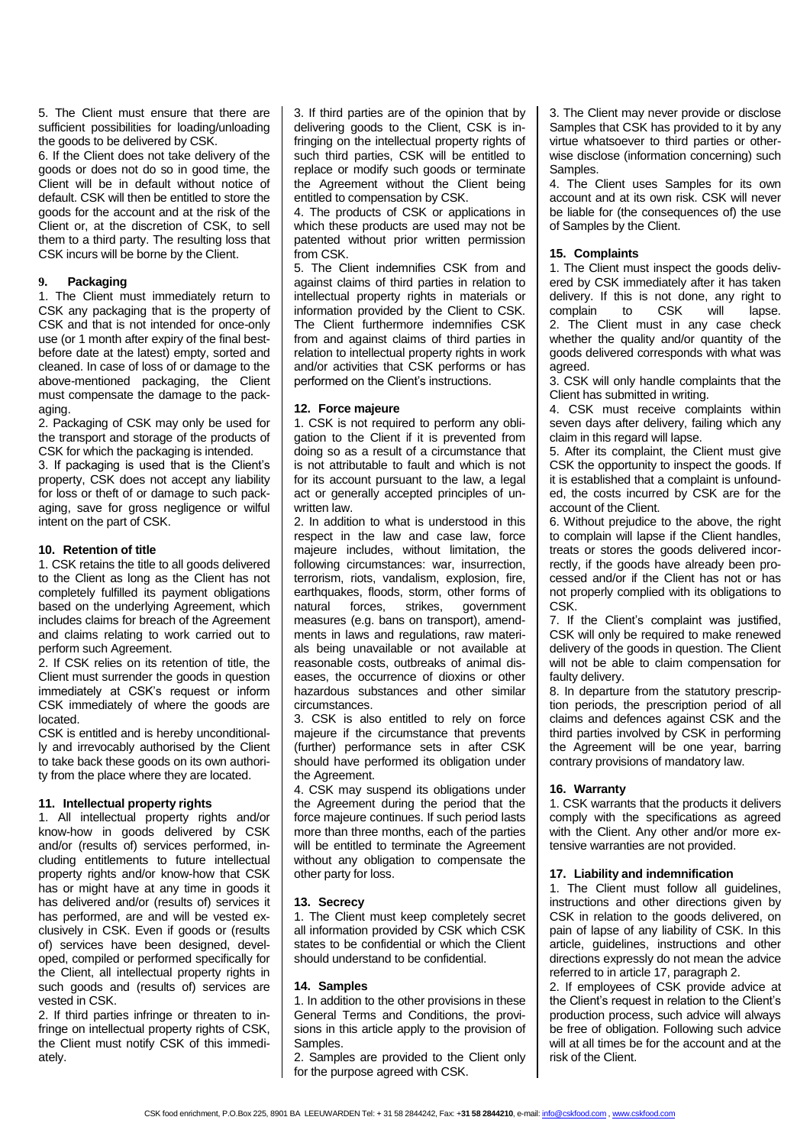5. The Client must ensure that there are sufficient possibilities for loading/unloading the goods to be delivered by CSK.

6. If the Client does not take delivery of the goods or does not do so in good time, the Client will be in default without notice of default. CSK will then be entitled to store the goods for the account and at the risk of the Client or, at the discretion of CSK, to sell them to a third party. The resulting loss that CSK incurs will be borne by the Client.

# **9. Packaging**

1. The Client must immediately return to CSK any packaging that is the property of CSK and that is not intended for once-only use (or 1 month after expiry of the final bestbefore date at the latest) empty, sorted and cleaned. In case of loss of or damage to the above-mentioned packaging, the Client must compensate the damage to the packaging.

2. Packaging of CSK may only be used for the transport and storage of the products of CSK for which the packaging is intended.

3. If packaging is used that is the Client's property, CSK does not accept any liability for loss or theft of or damage to such packaging, save for gross negligence or wilful intent on the part of CSK.

# **10. Retention of title**

1. CSK retains the title to all goods delivered to the Client as long as the Client has not completely fulfilled its payment obligations based on the underlying Agreement, which includes claims for breach of the Agreement and claims relating to work carried out to perform such Agreement.

2. If CSK relies on its retention of title, the Client must surrender the goods in question immediately at CSK's request or inform CSK immediately of where the goods are located.

CSK is entitled and is hereby unconditionally and irrevocably authorised by the Client to take back these goods on its own authority from the place where they are located.

### **11. Intellectual property rights**

1. All intellectual property rights and/or know-how in goods delivered by CSK and/or (results of) services performed, including entitlements to future intellectual property rights and/or know-how that CSK has or might have at any time in goods it has delivered and/or (results of) services it has performed, are and will be vested exclusively in CSK. Even if goods or (results of) services have been designed, developed, compiled or performed specifically for the Client, all intellectual property rights in such goods and (results of) services are vested in CSK.

2. If third parties infringe or threaten to infringe on intellectual property rights of CSK, the Client must notify CSK of this immediately.

3. If third parties are of the opinion that by delivering goods to the Client, CSK is infringing on the intellectual property rights of such third parties, CSK will be entitled to replace or modify such goods or terminate the Agreement without the Client being entitled to compensation by CSK.

4. The products of CSK or applications in which these products are used may not be patented without prior written permission from CSK.

5. The Client indemnifies CSK from and against claims of third parties in relation to intellectual property rights in materials or information provided by the Client to CSK. The Client furthermore indemnifies CSK from and against claims of third parties in relation to intellectual property rights in work and/or activities that CSK performs or has performed on the Client's instructions.

# **12. Force majeure**

1. CSK is not required to perform any obligation to the Client if it is prevented from doing so as a result of a circumstance that is not attributable to fault and which is not for its account pursuant to the law, a legal act or generally accepted principles of unwritten law.

2. In addition to what is understood in this respect in the law and case law, force majeure includes, without limitation, the following circumstances: war, insurrection, terrorism, riots, vandalism, explosion, fire, earthquakes, floods, storm, other forms of natural forces, strikes, government measures (e.g. bans on transport), amendments in laws and regulations, raw materials being unavailable or not available at reasonable costs, outbreaks of animal diseases, the occurrence of dioxins or other hazardous substances and other similar circumstances.

3. CSK is also entitled to rely on force majeure if the circumstance that prevents (further) performance sets in after CSK should have performed its obligation under the Agreement.

4. CSK may suspend its obligations under the Agreement during the period that the force majeure continues. If such period lasts more than three months, each of the parties will be entitled to terminate the Agreement without any obligation to compensate the other party for loss.

# **13. Secrecy**

1. The Client must keep completely secret all information provided by CSK which CSK states to be confidential or which the Client should understand to be confidential.

# **14. Samples**

1. In addition to the other provisions in these General Terms and Conditions, the provisions in this article apply to the provision of Samples.

2. Samples are provided to the Client only for the purpose agreed with CSK.

3. The Client may never provide or disclose Samples that CSK has provided to it by any virtue whatsoever to third parties or otherwise disclose (information concerning) such Samples.

4. The Client uses Samples for its own account and at its own risk. CSK will never be liable for (the consequences of) the use of Samples by the Client.

### **15. Complaints**

1. The Client must inspect the goods delivered by CSK immediately after it has taken delivery. If this is not done, any right to<br>complain to CSK will lapse. complain 2. The Client must in any case check whether the quality and/or quantity of the goods delivered corresponds with what was agreed.

3. CSK will only handle complaints that the Client has submitted in writing.

4. CSK must receive complaints within seven days after delivery, failing which any claim in this regard will lapse.

5. After its complaint, the Client must give CSK the opportunity to inspect the goods. If it is established that a complaint is unfounded, the costs incurred by CSK are for the account of the Client.

6. Without prejudice to the above, the right to complain will lapse if the Client handles, treats or stores the goods delivered incorrectly, if the goods have already been processed and/or if the Client has not or has not properly complied with its obligations to CSK.

7. If the Client's complaint was justified, CSK will only be required to make renewed delivery of the goods in question. The Client will not be able to claim compensation for faulty delivery.

8. In departure from the statutory prescription periods, the prescription period of all claims and defences against CSK and the third parties involved by CSK in performing the Agreement will be one year, barring contrary provisions of mandatory law.

### **16. Warranty**

1. CSK warrants that the products it delivers comply with the specifications as agreed with the Client. Any other and/or more extensive warranties are not provided.

### **17. Liability and indemnification**

1. The Client must follow all guidelines, instructions and other directions given by CSK in relation to the goods delivered, on pain of lapse of any liability of CSK. In this article, guidelines, instructions and other directions expressly do not mean the advice referred to in article 17, paragraph 2.

2. If employees of CSK provide advice at the Client's request in relation to the Client's production process, such advice will always be free of obligation. Following such advice will at all times be for the account and at the risk of the Client.